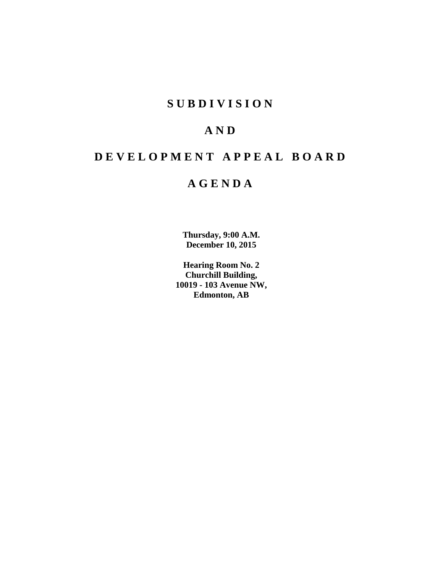# **S U B D I V I S I O N**

# **A N D**

# **D E V E L O P M E N T A P P E A L B O A R D**

# **A G E N D A**

**Thursday, 9:00 A.M. December 10, 2015**

**Hearing Room No. 2 Churchill Building, 10019 - 103 Avenue NW, Edmonton, AB**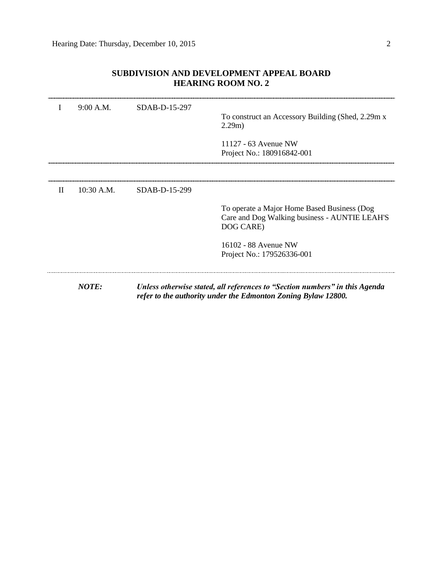| I            | 9:00 A.M.  | SDAB-D-15-297 | To construct an Accessory Building (Shed, 2.29m x)<br>2.29m)<br>11127 - 63 Avenue NW<br>Project No.: 180916842-001                           |
|--------------|------------|---------------|----------------------------------------------------------------------------------------------------------------------------------------------|
| $\mathbf{H}$ | 10:30 A.M. | SDAB-D-15-299 | To operate a Major Home Based Business (Dog<br>Care and Dog Walking business - AUNTIE LEAH'S<br>DOG CARE)                                    |
|              |            |               | 16102 - 88 Avenue NW<br>Project No.: 179526336-001                                                                                           |
|              | NOTE:      |               | Unless otherwise stated, all references to "Section numbers" in this Agenda<br>refer to the authority under the Edmonton Zoning Bylaw 12800. |

## **SUBDIVISION AND DEVELOPMENT APPEAL BOARD HEARING ROOM NO. 2**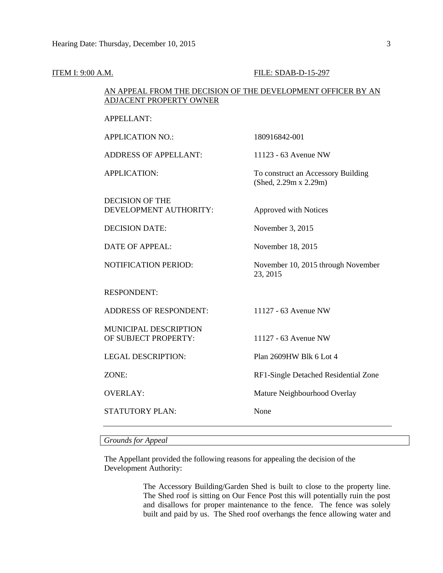#### ITEM I: 9:00 A.M. FILE: SDAB-D-15-297

### AN APPEAL FROM THE DECISION OF THE DEVELOPMENT OFFICER BY AN ADJACENT PROPERTY OWNER

APPELLANT:

APPLICATION NO.: 180916842-001 ADDRESS OF APPELLANT: 11123 - 63 Avenue NW APPLICATION: To construct an Accessory Building (Shed, 2.29m x 2.29m) DECISION OF THE DEVELOPMENT AUTHORITY: Approved with Notices DECISION DATE: November 3, 2015 DATE OF APPEAL: November 18, 2015 NOTIFICATION PERIOD: November 10, 2015 through November 23, 2015 RESPONDENT: ADDRESS OF RESPONDENT: 11127 - 63 Avenue NW MUNICIPAL DESCRIPTION OF SUBJECT PROPERTY: 11127 - 63 Avenue NW LEGAL DESCRIPTION: Plan 2609HW Blk 6 Lot 4 ZONE: RF1-Single Detached Residential Zone OVERLAY: Mature Neighbourhood Overlay STATUTORY PLAN: None

*Grounds for Appeal*

The Appellant provided the following reasons for appealing the decision of the Development Authority:

> The Accessory Building/Garden Shed is built to close to the property line. The Shed roof is sitting on Our Fence Post this will potentially ruin the post and disallows for proper maintenance to the fence. The fence was solely built and paid by us. The Shed roof overhangs the fence allowing water and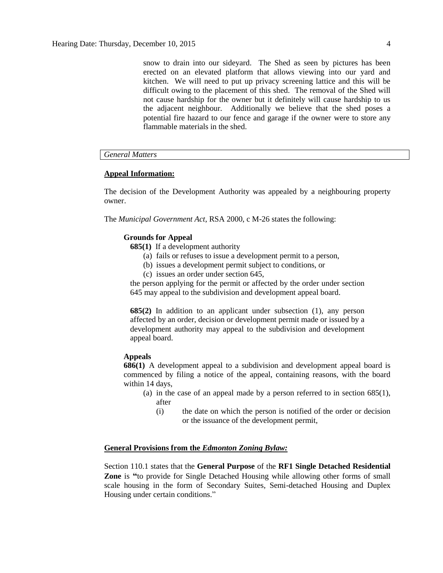snow to drain into our sideyard. The Shed as seen by pictures has been erected on an elevated platform that allows viewing into our yard and kitchen. We will need to put up privacy screening lattice and this will be difficult owing to the placement of this shed. The removal of the Shed will not cause hardship for the owner but it definitely will cause hardship to us the adjacent neighbour. Additionally we believe that the shed poses a potential fire hazard to our fence and garage if the owner were to store any flammable materials in the shed.

#### *General Matters*

#### **Appeal Information:**

The decision of the Development Authority was appealed by a neighbouring property owner.

The *Municipal Government Act*, RSA 2000, c M-26 states the following:

#### **Grounds for Appeal**

- **685(1)** If a development authority
	- (a) fails or refuses to issue a development permit to a person,
	- (b) issues a development permit subject to conditions, or
	- (c) issues an order under section 645,

the person applying for the permit or affected by the order under section 645 may appeal to the subdivision and development appeal board.

**685(2)** In addition to an applicant under subsection (1), any person affected by an order, decision or development permit made or issued by a development authority may appeal to the subdivision and development appeal board.

#### **Appeals**

**686(1)** A development appeal to a subdivision and development appeal board is commenced by filing a notice of the appeal, containing reasons, with the board within 14 days,

- (a) in the case of an appeal made by a person referred to in section 685(1), after
	- (i) the date on which the person is notified of the order or decision or the issuance of the development permit,

#### **General Provisions from the** *Edmonton Zoning Bylaw:*

Section 110.1 states that the **General Purpose** of the **RF1 Single Detached Residential Zone** is **"**to provide for Single Detached Housing while allowing other forms of small scale housing in the form of Secondary Suites, Semi-detached Housing and Duplex Housing under certain conditions."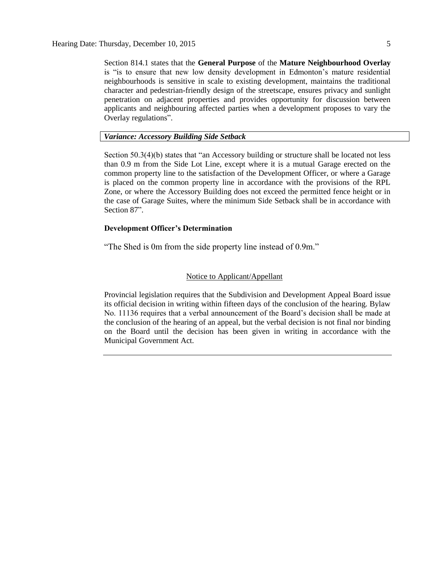Section 814.1 states that the **General Purpose** of the **Mature Neighbourhood Overlay** is "is to ensure that new low density development in Edmonton's mature residential neighbourhoods is sensitive in scale to existing development, maintains the traditional character and pedestrian-friendly design of the streetscape, ensures privacy and sunlight penetration on adjacent properties and provides opportunity for discussion between applicants and neighbouring affected parties when a development proposes to vary the Overlay regulations".

#### *Variance: Accessory Building Side Setback*

Section 50.3(4)(b) states that "an Accessory building or structure shall be located not less than 0.9 m from the Side Lot Line, except where it is a mutual Garage erected on the common property line to the satisfaction of the Development Officer, or where a Garage is placed on the common property line in accordance with the provisions of the RPL Zone, or where the Accessory Building does not exceed the permitted fence height or in the case of Garage Suites, where the minimum Side Setback shall be in accordance with Section 87".

#### **Development Officer's Determination**

"The Shed is 0m from the side property line instead of 0.9m."

#### Notice to Applicant/Appellant

Provincial legislation requires that the Subdivision and Development Appeal Board issue its official decision in writing within fifteen days of the conclusion of the hearing. Bylaw No. 11136 requires that a verbal announcement of the Board's decision shall be made at the conclusion of the hearing of an appeal, but the verbal decision is not final nor binding on the Board until the decision has been given in writing in accordance with the Municipal Government Act.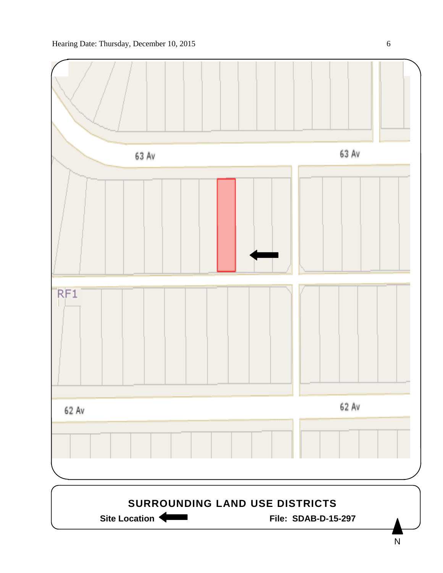

N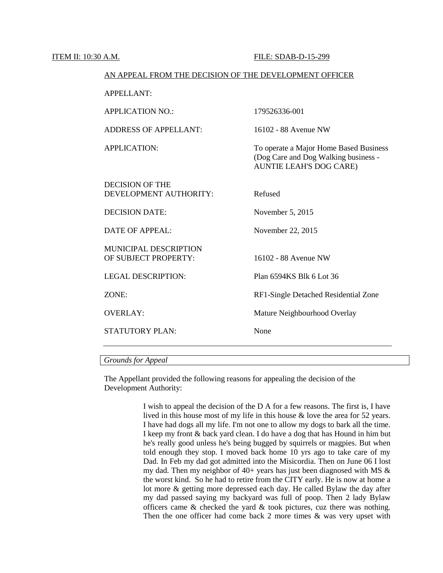ITEM II: 10:30 A.M. FILE: SDAB-D-15-299

| AN APPEAL FROM THE DECISION OF THE DEVELOPMENT OFFICER |                                                                                                           |  |  |  |
|--------------------------------------------------------|-----------------------------------------------------------------------------------------------------------|--|--|--|
| APPELLANT:                                             |                                                                                                           |  |  |  |
| <b>APPLICATION NO.:</b>                                | 179526336-001                                                                                             |  |  |  |
| <b>ADDRESS OF APPELLANT:</b>                           | 16102 - 88 Avenue NW                                                                                      |  |  |  |
| <b>APPLICATION:</b>                                    | To operate a Major Home Based Business<br>(Dog Care and Dog Walking business -<br>AUNTIE LEAH'S DOG CARE) |  |  |  |
| DECISION OF THE<br>DEVELOPMENT AUTHORITY:              | Refused                                                                                                   |  |  |  |
| <b>DECISION DATE:</b>                                  | November 5, 2015                                                                                          |  |  |  |
| <b>DATE OF APPEAL:</b>                                 | November 22, 2015                                                                                         |  |  |  |
| <b>MUNICIPAL DESCRIPTION</b><br>OF SUBJECT PROPERTY:   | 16102 - 88 Avenue NW                                                                                      |  |  |  |
| <b>LEGAL DESCRIPTION:</b>                              | Plan 6594KS Blk 6 Lot 36                                                                                  |  |  |  |
| ZONE:                                                  | RF1-Single Detached Residential Zone                                                                      |  |  |  |
| <b>OVERLAY:</b>                                        | Mature Neighbourhood Overlay                                                                              |  |  |  |
| <b>STATUTORY PLAN:</b>                                 | None                                                                                                      |  |  |  |

## *Grounds for Appeal*

The Appellant provided the following reasons for appealing the decision of the Development Authority:

> I wish to appeal the decision of the D A for a few reasons. The first is, I have lived in this house most of my life in this house & love the area for 52 years. I have had dogs all my life. I'm not one to allow my dogs to bark all the time. I keep my front & back yard clean. I do have a dog that has Hound in him but he's really good unless he's being bugged by squirrels or magpies. But when told enough they stop. I moved back home 10 yrs ago to take care of my Dad. In Feb my dad got admitted into the Misicordia. Then on June 06 I lost my dad. Then my neighbor of  $40+$  years has just been diagnosed with MS  $\&$ the worst kind. So he had to retire from the CITY early. He is now at home a lot more & getting more depressed each day. He called Bylaw the day after my dad passed saying my backyard was full of poop. Then 2 lady Bylaw officers came  $&$  checked the yard  $&$  took pictures, cuz there was nothing. Then the one officer had come back 2 more times  $\&$  was very upset with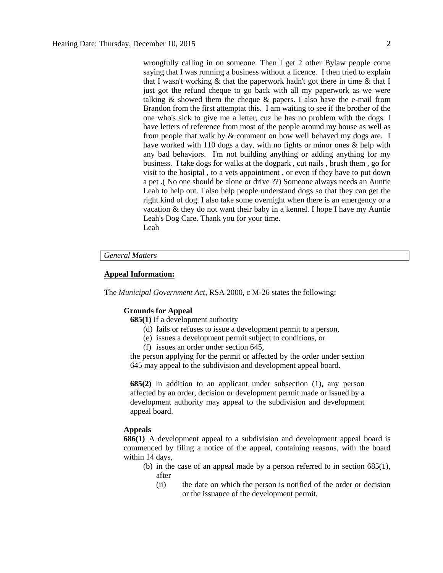wrongfully calling in on someone. Then I get 2 other Bylaw people come saying that I was running a business without a licence. I then tried to explain that I wasn't working & that the paperwork hadn't got there in time & that I just got the refund cheque to go back with all my paperwork as we were talking  $\&$  showed them the cheque  $\&$  papers. I also have the e-mail from Brandon from the first attemptat this. I am waiting to see if the brother of the one who's sick to give me a letter, cuz he has no problem with the dogs. I have letters of reference from most of the people around my house as well as from people that walk by & comment on how well behaved my dogs are. I have worked with 110 dogs a day, with no fights or minor ones & help with any bad behaviors. I'm not building anything or adding anything for my business. I take dogs for walks at the dogpark , cut nails , brush them , go for visit to the hosiptal , to a vets appointment , or even if they have to put down a pet .( No one should be alone or drive ??) Someone always needs an Auntie Leah to help out. I also help people understand dogs so that they can get the right kind of dog. I also take some overnight when there is an emergency or a vacation & they do not want their baby in a kennel. I hope I have my Auntie Leah's Dog Care. Thank you for your time. Leah

#### *General Matters*

#### **Appeal Information:**

The *Municipal Government Act*, RSA 2000, c M-26 states the following:

#### **Grounds for Appeal**

- **685(1)** If a development authority
	- (d) fails or refuses to issue a development permit to a person,
	- (e) issues a development permit subject to conditions, or
	- (f) issues an order under section 645,

the person applying for the permit or affected by the order under section 645 may appeal to the subdivision and development appeal board.

**685(2)** In addition to an applicant under subsection (1), any person affected by an order, decision or development permit made or issued by a development authority may appeal to the subdivision and development appeal board.

#### **Appeals**

**686(1)** A development appeal to a subdivision and development appeal board is commenced by filing a notice of the appeal, containing reasons, with the board within 14 days,

- (b) in the case of an appeal made by a person referred to in section 685(1), after
	- (ii) the date on which the person is notified of the order or decision or the issuance of the development permit,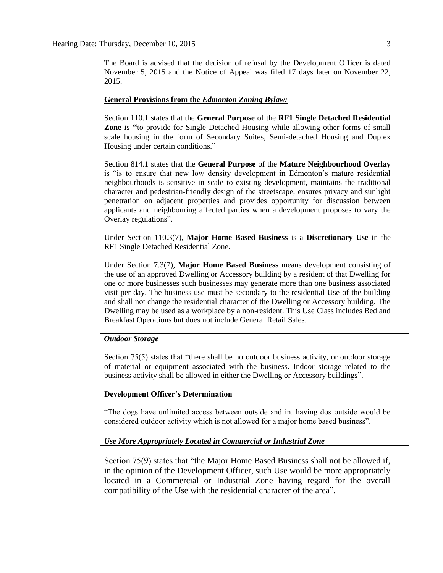The Board is advised that the decision of refusal by the Development Officer is dated November 5, 2015 and the Notice of Appeal was filed 17 days later on November 22, 2015.

#### **General Provisions from the** *Edmonton Zoning Bylaw:*

Section 110.1 states that the **General Purpose** of the **RF1 Single Detached Residential Zone** is **"**to provide for Single Detached Housing while allowing other forms of small scale housing in the form of Secondary Suites, Semi-detached Housing and Duplex Housing under certain conditions."

Section 814.1 states that the **General Purpose** of the **Mature Neighbourhood Overlay** is "is to ensure that new low density development in Edmonton's mature residential neighbourhoods is sensitive in scale to existing development, maintains the traditional character and pedestrian-friendly design of the streetscape, ensures privacy and sunlight penetration on adjacent properties and provides opportunity for discussion between applicants and neighbouring affected parties when a development proposes to vary the Overlay regulations".

Under Section 110.3(7), **Major Home Based Business** is a **Discretionary Use** in the RF1 Single Detached Residential Zone.

Under Section 7.3(7), **Major Home Based Business** means development consisting of the use of an approved Dwelling or Accessory building by a resident of that Dwelling for one or more businesses such businesses may generate more than one business associated visit per day. The business use must be secondary to the residential Use of the building and shall not change the residential character of the Dwelling or Accessory building. The Dwelling may be used as a workplace by a non-resident. This Use Class includes Bed and Breakfast Operations but does not include General Retail Sales.

#### *Outdoor Storage*

Section 75(5) states that "there shall be no outdoor business activity, or outdoor storage of material or equipment associated with the business. Indoor storage related to the business activity shall be allowed in either the Dwelling or Accessory buildings".

#### **Development Officer's Determination**

"The dogs have unlimited access between outside and in. having dos outside would be considered outdoor activity which is not allowed for a major home based business".

#### *Use More Appropriately Located in Commercial or Industrial Zone*

Section 75(9) states that "the Major Home Based Business shall not be allowed if, in the opinion of the Development Officer, such Use would be more appropriately located in a Commercial or Industrial Zone having regard for the overall compatibility of the Use with the residential character of the area".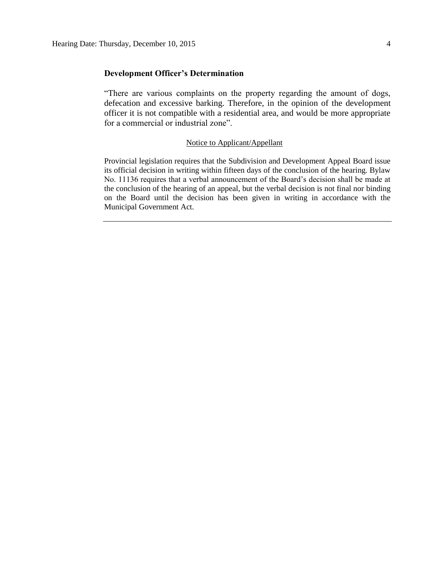#### **Development Officer's Determination**

"There are various complaints on the property regarding the amount of dogs, defecation and excessive barking. Therefore, in the opinion of the development officer it is not compatible with a residential area, and would be more appropriate for a commercial or industrial zone".

#### Notice to Applicant/Appellant

Provincial legislation requires that the Subdivision and Development Appeal Board issue its official decision in writing within fifteen days of the conclusion of the hearing. Bylaw No. 11136 requires that a verbal announcement of the Board's decision shall be made at the conclusion of the hearing of an appeal, but the verbal decision is not final nor binding on the Board until the decision has been given in writing in accordance with the Municipal Government Act.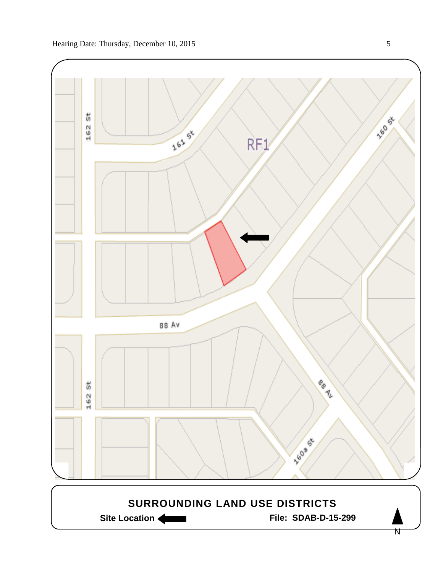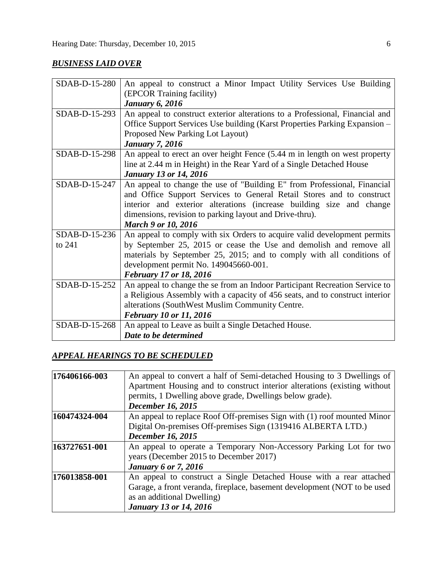## *BUSINESS LAID OVER*

| SDAB-D-15-280 | An appeal to construct a Minor Impact Utility Services Use Building          |  |  |  |  |
|---------------|------------------------------------------------------------------------------|--|--|--|--|
|               | (EPCOR Training facility)                                                    |  |  |  |  |
|               | <b>January 6, 2016</b>                                                       |  |  |  |  |
| SDAB-D-15-293 | An appeal to construct exterior alterations to a Professional, Financial and |  |  |  |  |
|               | Office Support Services Use building (Karst Properties Parking Expansion –   |  |  |  |  |
|               | Proposed New Parking Lot Layout)                                             |  |  |  |  |
|               | <b>January 7, 2016</b>                                                       |  |  |  |  |
| SDAB-D-15-298 | An appeal to erect an over height Fence (5.44 m in length on west property   |  |  |  |  |
|               | line at 2.44 m in Height) in the Rear Yard of a Single Detached House        |  |  |  |  |
|               | <b>January 13 or 14, 2016</b>                                                |  |  |  |  |
| SDAB-D-15-247 | An appeal to change the use of "Building E" from Professional, Financial     |  |  |  |  |
|               | and Office Support Services to General Retail Stores and to construct        |  |  |  |  |
|               | interior and exterior alterations (increase building size and change         |  |  |  |  |
|               | dimensions, revision to parking layout and Drive-thru).                      |  |  |  |  |
|               | <b>March 9 or 10, 2016</b>                                                   |  |  |  |  |
| SDAB-D-15-236 | An appeal to comply with six Orders to acquire valid development permits     |  |  |  |  |
| to 241        | by September 25, 2015 or cease the Use and demolish and remove all           |  |  |  |  |
|               | materials by September 25, 2015; and to comply with all conditions of        |  |  |  |  |
|               | development permit No. 149045660-001.                                        |  |  |  |  |
|               | <b>February 17 or 18, 2016</b>                                               |  |  |  |  |
| SDAB-D-15-252 | An appeal to change the se from an Indoor Participant Recreation Service to  |  |  |  |  |
|               | a Religious Assembly with a capacity of 456 seats, and to construct interior |  |  |  |  |
|               | alterations (SouthWest Muslim Community Centre.                              |  |  |  |  |
|               | February 10 or 11, 2016                                                      |  |  |  |  |
| SDAB-D-15-268 | An appeal to Leave as built a Single Detached House.                         |  |  |  |  |
|               | Date to be determined                                                        |  |  |  |  |

## *APPEAL HEARINGS TO BE SCHEDULED*

| 176406166-003 | An appeal to convert a half of Semi-detached Housing to 3 Dwellings of                                       |  |  |
|---------------|--------------------------------------------------------------------------------------------------------------|--|--|
|               | Apartment Housing and to construct interior alterations (existing without                                    |  |  |
|               | permits, 1 Dwelling above grade, Dwellings below grade).                                                     |  |  |
|               | <b>December 16, 2015</b>                                                                                     |  |  |
| 160474324-004 | An appeal to replace Roof Off-premises Sign with (1) roof mounted Minor                                      |  |  |
|               | Digital On-premises Off-premises Sign (1319416 ALBERTA LTD.)                                                 |  |  |
|               | <b>December 16, 2015</b>                                                                                     |  |  |
| 163727651-001 | An appeal to operate a Temporary Non-Accessory Parking Lot for two<br>years (December 2015 to December 2017) |  |  |
|               | <b>January 6 or 7, 2016</b>                                                                                  |  |  |
| 176013858-001 | An appeal to construct a Single Detached House with a rear attached                                          |  |  |
|               | Garage, a front veranda, fireplace, basement development (NOT to be used                                     |  |  |
|               | as an additional Dwelling)                                                                                   |  |  |
|               | <b>January 13 or 14, 2016</b>                                                                                |  |  |